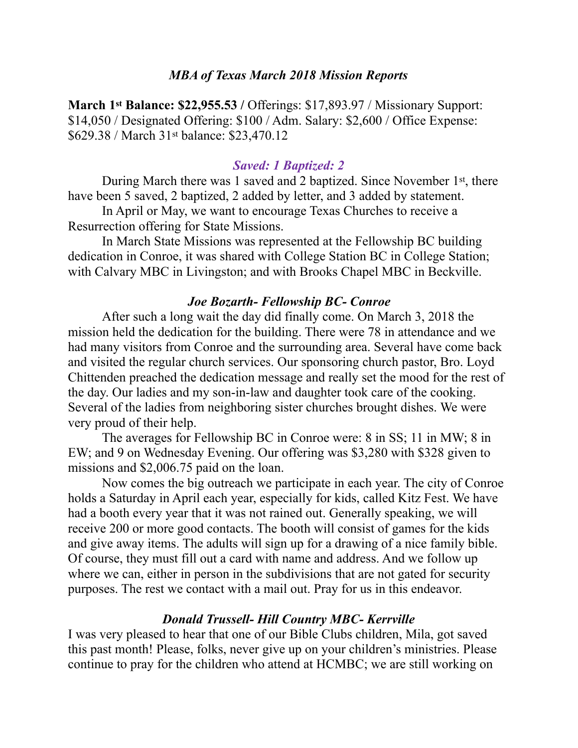#### *MBA of Texas March 2018 Mission Reports*

**March 1st Balance: \$22,955.53 /** Offerings: \$17,893.97 / Missionary Support: \$14,050 / Designated Offering: \$100 / Adm. Salary: \$2,600 / Office Expense: \$629.38 / March 31st balance: \$23,470.12

#### *Saved: 1 Baptized: 2*

During March there was 1 saved and 2 baptized. Since November 1st, there have been 5 saved, 2 baptized, 2 added by letter, and 3 added by statement.

 In April or May, we want to encourage Texas Churches to receive a Resurrection offering for State Missions.

 In March State Missions was represented at the Fellowship BC building dedication in Conroe, it was shared with College Station BC in College Station; with Calvary MBC in Livingston; and with Brooks Chapel MBC in Beckville.

#### *Joe Bozarth- Fellowship BC- Conroe*

 After such a long wait the day did finally come. On March 3, 2018 the mission held the dedication for the building. There were 78 in attendance and we had many visitors from Conroe and the surrounding area. Several have come back and visited the regular church services. Our sponsoring church pastor, Bro. Loyd Chittenden preached the dedication message and really set the mood for the rest of the day. Our ladies and my son-in-law and daughter took care of the cooking. Several of the ladies from neighboring sister churches brought dishes. We were very proud of their help.

 The averages for Fellowship BC in Conroe were: 8 in SS; 11 in MW; 8 in EW; and 9 on Wednesday Evening. Our offering was \$3,280 with \$328 given to missions and \$2,006.75 paid on the loan.

 Now comes the big outreach we participate in each year. The city of Conroe holds a Saturday in April each year, especially for kids, called Kitz Fest. We have had a booth every year that it was not rained out. Generally speaking, we will receive 200 or more good contacts. The booth will consist of games for the kids and give away items. The adults will sign up for a drawing of a nice family bible. Of course, they must fill out a card with name and address. And we follow up where we can, either in person in the subdivisions that are not gated for security purposes. The rest we contact with a mail out. Pray for us in this endeavor.

#### *Donald Trussell- Hill Country MBC- Kerrville*

I was very pleased to hear that one of our Bible Clubs children, Mila, got saved this past month! Please, folks, never give up on your children's ministries. Please continue to pray for the children who attend at HCMBC; we are still working on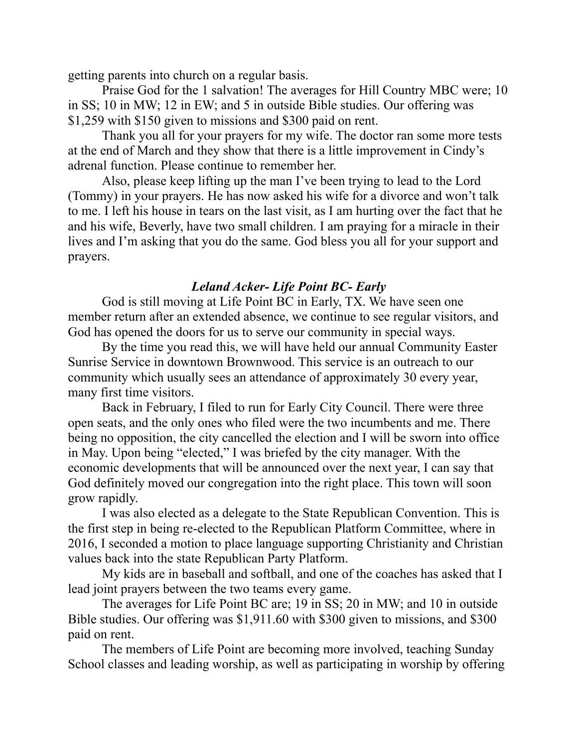getting parents into church on a regular basis.

 Praise God for the 1 salvation! The averages for Hill Country MBC were; 10 in SS; 10 in MW; 12 in EW; and 5 in outside Bible studies. Our offering was \$1,259 with \$150 given to missions and \$300 paid on rent.

 Thank you all for your prayers for my wife. The doctor ran some more tests at the end of March and they show that there is a little improvement in Cindy's adrenal function. Please continue to remember her.

 Also, please keep lifting up the man I've been trying to lead to the Lord (Tommy) in your prayers. He has now asked his wife for a divorce and won't talk to me. I left his house in tears on the last visit, as I am hurting over the fact that he and his wife, Beverly, have two small children. I am praying for a miracle in their lives and I'm asking that you do the same. God bless you all for your support and prayers.

## *Leland Acker- Life Point BC- Early*

 God is still moving at Life Point BC in Early, TX. We have seen one member return after an extended absence, we continue to see regular visitors, and God has opened the doors for us to serve our community in special ways.

 By the time you read this, we will have held our annual Community Easter Sunrise Service in downtown Brownwood. This service is an outreach to our community which usually sees an attendance of approximately 30 every year, many first time visitors.

 Back in February, I filed to run for Early City Council. There were three open seats, and the only ones who filed were the two incumbents and me. There being no opposition, the city cancelled the election and I will be sworn into office in May. Upon being "elected," I was briefed by the city manager. With the economic developments that will be announced over the next year, I can say that God definitely moved our congregation into the right place. This town will soon grow rapidly.

 I was also elected as a delegate to the State Republican Convention. This is the first step in being re-elected to the Republican Platform Committee, where in 2016, I seconded a motion to place language supporting Christianity and Christian values back into the state Republican Party Platform.

 My kids are in baseball and softball, and one of the coaches has asked that I lead joint prayers between the two teams every game.

 The averages for Life Point BC are; 19 in SS; 20 in MW; and 10 in outside Bible studies. Our offering was \$1,911.60 with \$300 given to missions, and \$300 paid on rent.

 The members of Life Point are becoming more involved, teaching Sunday School classes and leading worship, as well as participating in worship by offering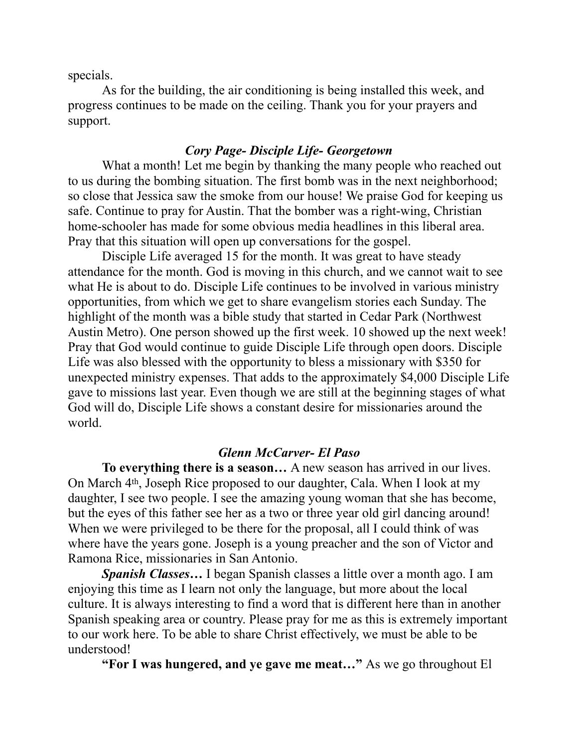specials.

 As for the building, the air conditioning is being installed this week, and progress continues to be made on the ceiling. Thank you for your prayers and support.

### *Cory Page- Disciple Life- Georgetown*

 What a month! Let me begin by thanking the many people who reached out to us during the bombing situation. The first bomb was in the next neighborhood; so close that Jessica saw the smoke from our house! We praise God for keeping us safe. Continue to pray for Austin. That the bomber was a right-wing, Christian home-schooler has made for some obvious media headlines in this liberal area. Pray that this situation will open up conversations for the gospel.

 Disciple Life averaged 15 for the month. It was great to have steady attendance for the month. God is moving in this church, and we cannot wait to see what He is about to do. Disciple Life continues to be involved in various ministry opportunities, from which we get to share evangelism stories each Sunday. The highlight of the month was a bible study that started in Cedar Park (Northwest Austin Metro). One person showed up the first week. 10 showed up the next week! Pray that God would continue to guide Disciple Life through open doors. Disciple Life was also blessed with the opportunity to bless a missionary with \$350 for unexpected ministry expenses. That adds to the approximately \$4,000 Disciple Life gave to missions last year. Even though we are still at the beginning stages of what God will do, Disciple Life shows a constant desire for missionaries around the world.

#### *Glenn McCarver- El Paso*

 **To everything there is a season…** A new season has arrived in our lives. On March 4th, Joseph Rice proposed to our daughter, Cala. When I look at my daughter, I see two people. I see the amazing young woman that she has become, but the eyes of this father see her as a two or three year old girl dancing around! When we were privileged to be there for the proposal, all I could think of was where have the years gone. Joseph is a young preacher and the son of Victor and Ramona Rice, missionaries in San Antonio.

*Spanish Classes…* I began Spanish classes a little over a month ago. I am enjoying this time as I learn not only the language, but more about the local culture. It is always interesting to find a word that is different here than in another Spanish speaking area or country. Please pray for me as this is extremely important to our work here. To be able to share Christ effectively, we must be able to be understood!

**"For I was hungered, and ye gave me meat…"** As we go throughout El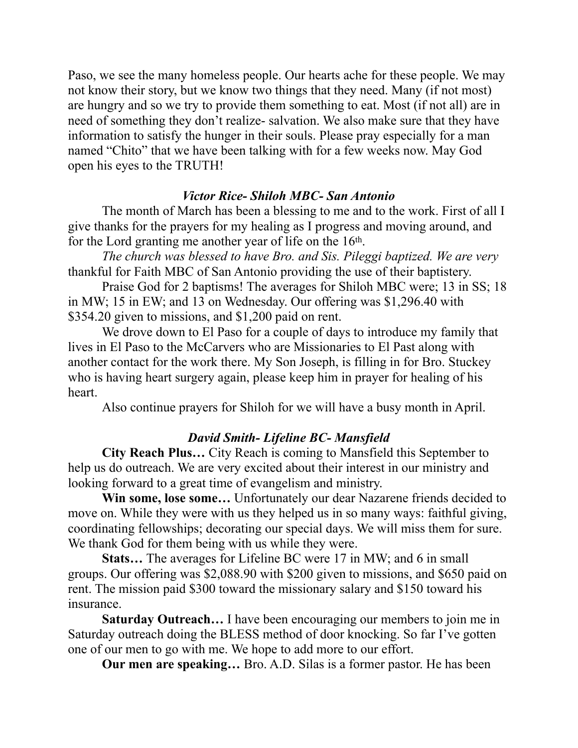Paso, we see the many homeless people. Our hearts ache for these people. We may not know their story, but we know two things that they need. Many (if not most) are hungry and so we try to provide them something to eat. Most (if not all) are in need of something they don't realize- salvation. We also make sure that they have information to satisfy the hunger in their souls. Please pray especially for a man named "Chito" that we have been talking with for a few weeks now. May God open his eyes to the TRUTH!

## *Victor Rice- Shiloh MBC- San Antonio*

 The month of March has been a blessing to me and to the work. First of all I give thanks for the prayers for my healing as I progress and moving around, and for the Lord granting me another year of life on the 16<sup>th</sup>.

 *The church was blessed to have Bro. and Sis. Pileggi baptized. We are very* thankful for Faith MBC of San Antonio providing the use of their baptistery.

 Praise God for 2 baptisms! The averages for Shiloh MBC were; 13 in SS; 18 in MW; 15 in EW; and 13 on Wednesday. Our offering was \$1,296.40 with \$354.20 given to missions, and \$1,200 paid on rent.

 We drove down to El Paso for a couple of days to introduce my family that lives in El Paso to the McCarvers who are Missionaries to El Past along with another contact for the work there. My Son Joseph, is filling in for Bro. Stuckey who is having heart surgery again, please keep him in prayer for healing of his heart.

Also continue prayers for Shiloh for we will have a busy month in April.

# *David Smith- Lifeline BC- Mansfield*

 **City Reach Plus…** City Reach is coming to Mansfield this September to help us do outreach. We are very excited about their interest in our ministry and looking forward to a great time of evangelism and ministry.

**Win some, lose some…** Unfortunately our dear Nazarene friends decided to move on. While they were with us they helped us in so many ways: faithful giving, coordinating fellowships; decorating our special days. We will miss them for sure. We thank God for them being with us while they were.

**Stats…** The averages for Lifeline BC were 17 in MW; and 6 in small groups. Our offering was \$2,088.90 with \$200 given to missions, and \$650 paid on rent. The mission paid \$300 toward the missionary salary and \$150 toward his insurance.

**Saturday Outreach…** I have been encouraging our members to join me in Saturday outreach doing the BLESS method of door knocking. So far I've gotten one of our men to go with me. We hope to add more to our effort.

**Our men are speaking…** Bro. A.D. Silas is a former pastor. He has been